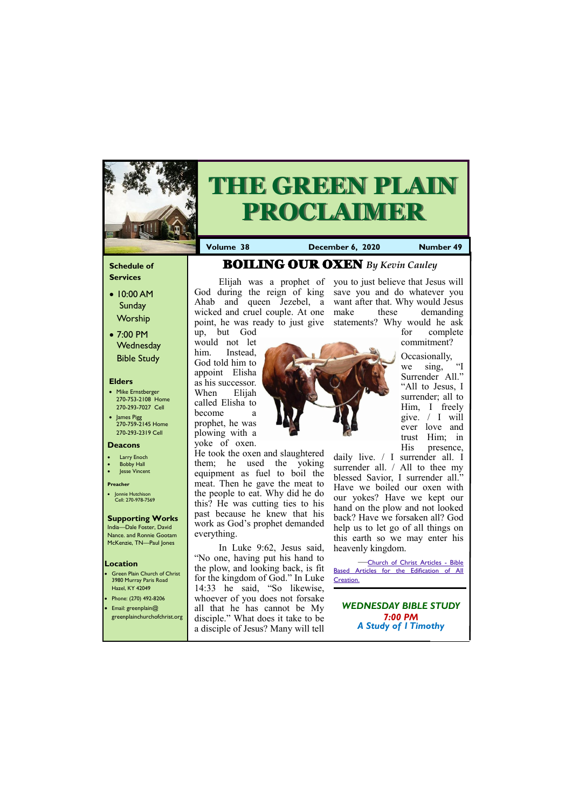### **Schedule of Services**

- 10:00 AM Sunday **Worship**
- 7:00 PM **Wednesday** Bible Study

### **Elders**

- Mike Ernstberger 270-753-2108 Home 270-293-7027 Cell
- James Pigg 270-759-2145 Home 270-293-2319 Cell

- **Green Plain Church of Christ** 3980 Murray Paris Road Hazel, KY 42049
- 
- Phone: (270) 492-8206
- Email: greenplain@

### **Location**

Elijah was a prophet of you to just believe that Jesus will God during the reign of king save you and do whatever you Ahab and queen Jezebel, a want after that. Why would Jesus point, he was ready to just give statements? Why would he ask these demanding



# **THE GREEN PLAIN PROCLAIMER**

**Volume 38 December 6, 2020 Number 49** 

### **Deacons**

- **Larry Enoch**
- **Bobby Hall**
- Jesse Vincent

### **Preacher**

• Jonnie Hutchison Cell: 270-978-7569

### **Supporting Works**

India—Dale Foster, David Nance. and Ronnie Gootam McKenzie, TN—Paul Jones

up, but God would not let him. Instead, God told him to appoint Elisha as his successor. When Elijah called Elisha to become a prophet, he was plowing with a yoke of oxen.

He took the oxen and slaughtered them; he used the yoking equipment as fuel to boil the meat. Then he gave the meat to the people to eat. Why did he do this? He was cutting ties to his past because he knew that his work as God's prophet demanded everything.

In Luke 9:62, Jesus said, "No one, having put his hand to the plow, and looking back, is fit for the kingdom of God." In Luke 14:33 he said, "So likewise, whoever of you does not forsake all that he has cannot be My

|  | greenplainchurchofchrist.org disciple." What does it take to be<br>a disciple of Jesus? Many will tell | $7:00$ PM<br><b>A Study of I Timothy</b> |
|--|--------------------------------------------------------------------------------------------------------|------------------------------------------|
|--|--------------------------------------------------------------------------------------------------------|------------------------------------------|

for complete commitment?

Occasionally, we sing, "I Surrender All." "All to Jesus, I surrender; all to Him, I freely give. / I will ever love and trust Him; in His presence,

daily live. / I surrender all. I surrender all. / All to thee my blessed Savior, I surrender all." Have we boiled our oxen with our yokes? Have we kept our hand on the plow and not looked back? Have we forsaken all? God help us to let go of all things on this earth so we may enter his heavenly kingdom.

—[Church of Christ Articles -](http://churchofchristarticles.com/blog/) Bible [Based Articles for the Edification of All](http://churchofchristarticles.com/blog/)  [Creation.](http://churchofchristarticles.com/blog/)

# BOILING OUR OXEN *By Kevin Cauley*

wicked and cruel couple. At one make

### *WEDNESDAY BIBLE STUDY*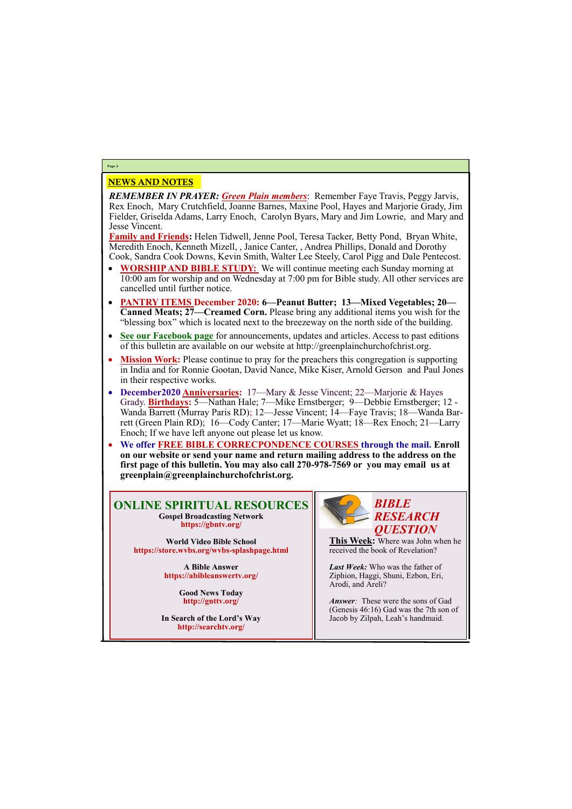# NEWS AND NOTES

*REMEMBER IN PRAYER: Green Plain members*: Remember Faye Travis, Peggy Jarvis, Rex Enoch, Mary Crutchfield, Joanne Barnes, Maxine Pool, Hayes and Marjorie Grady, Jim Fielder, Griselda Adams, Larry Enoch, Carolyn Byars, Mary and Jim Lowrie, and Mary and Jesse Vincent.

**Family and Friends:** Helen Tidwell, Jenne Pool, Teresa Tacker, Betty Pond, Bryan White, Meredith Enoch, Kenneth Mizell, , Janice Canter, , Andrea Phillips, Donald and Dorothy Cook, Sandra Cook Downs, Kevin Smith, Walter Lee Steely, Carol Pigg and Dale Pentecost.

- **WORSHIP AND BIBLE STUDY:** We will continue meeting each Sunday morning at 10:00 am for worship and on Wednesday at 7:00 pm for Bible study. All other services are cancelled until further notice.
- **PANTRY ITEMS December 2020: 6—Peanut Butter; 13—Mixed Vegetables; 20— Canned Meats; 27—Creamed Corn.** Please bring any additional items you wish for the "blessing box" which is located next to the breezeway on the north side of the building.
- **See our Facebook page** for announcements, updates and articles. Access to past editions of this bulletin are available on our website at http://greenplainchurchofchrist.org.
- **Mission Work:** Please continue to pray for the preachers this congregation is supporting in India and for Ronnie Gootan, David Nance, Mike Kiser, Arnold Gerson and Paul Jones in their respective works.
- **December2020 Anniversaries:** 17—Mary & Jesse Vincent; 22—Marjorie & Hayes Grady. **Birthdays:** 5—Nathan Hale; 7—Mike Ernstberger; 9—Debbie Ernstberger; 12 - Wanda Barrett (Murray Paris RD); 12—Jesse Vincent; 14—Faye Travis; 18—Wanda Barrett (Green Plain RD); 16—Cody Canter; 17—Marie Wyatt; 18—Rex Enoch; 21—Larry Enoch; If we have left anyone out please let us know.
- **We offer FREE BIBLE CORRECPONDENCE COURSES through the mail. Enroll on our website or send your name and return mailing address to the address on the first page of this bulletin. You may also call 270-978-7569 or you may email us at greenplain@greenplainchurchofchrist.org.**

*Answer*: These were the sons of Gad (Genesis 46:16) Gad was the 7th son of Jacob by Zilpah, Leah's handmaid.

### **Page 2**

### **ONLINE SPIRITUAL RESOURCES Gospel Broadcasting Network https://gbntv.org/**

**World Video Bible School https://store.wvbs.org/wvbs-splashpage.html**

> **A Bible Answer https://abibleanswertv.org/**

> > **Good News Today http://gnttv.org/**

**In Search of the Lord's Way http://searchtv.org/**



**This Week:** Where was John when he received the book of Revelation?

*Last Week:* Who was the father of Ziphion, Haggi, Shuni, Ezbon, Eri, Arodi, and Areli?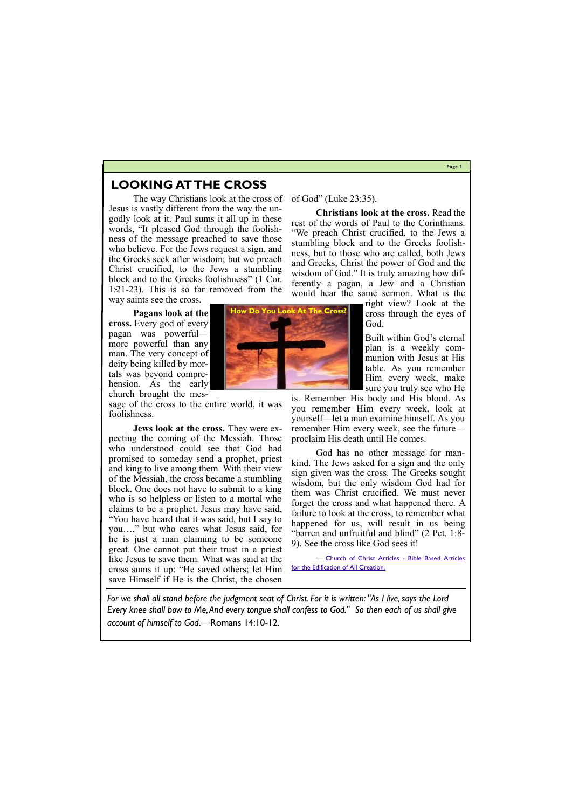# **Page 3**

# **LOOKING AT THE CROSS**

The way Christians look at the cross of Jesus is vastly different from the way the ungodly look at it. Paul sums it all up in these words, "It pleased God through the foolishness of the message preached to save those who believe. For the Jews request a sign, and the Greeks seek after wisdom; but we preach Christ crucified, to the Jews a stumbling block and to the Greeks foolishness" (1 Cor. 1:21-23). This is so far removed from the way saints see the cross.

**Pagans look at the cross.** Every god of every pagan was powerful more powerful than any man. The very concept of deity being killed by mortals was beyond comprehension. As the early church brought the mes-

sage of the cross to the entire world, it was foolishness.

**Jews look at the cross.** They were expecting the coming of the Messiah. Those who understood could see that God had promised to someday send a prophet, priest and king to live among them. With their view of the Messiah, the cross became a stumbling block. One does not have to submit to a king who is so helpless or listen to a mortal who claims to be a prophet. Jesus may have said, "You have heard that it was said, but I say to you…," but who cares what Jesus said, for he is just a man claiming to be someone great. One cannot put their trust in a priest like Jesus to save them. What was said at the cross sums it up: "He saved others; let Him save Himself if He is the Christ, the chosen



**Christians look at the cross.** Read the rest of the words of Paul to the Corinthians. "We preach Christ crucified, to the Jews a stumbling block and to the Greeks foolishness, but to those who are called, both Jews and Greeks, Christ the power of God and the wisdom of God." It is truly amazing how differently a pagan, a Jew and a Christian would hear the same sermon. What is the

> right view? Look at the cross through the eyes of God.

Built within God's eternal plan is a weekly communion with Jesus at His table. As you remember Him every week, make sure you truly see who He

is. Remember His body and His blood. As you remember Him every week, look at yourself—let a man examine himself. As you remember Him every week, see the future proclaim His death until He comes.

God has no other message for mankind. The Jews asked for a sign and the only sign given was the cross. The Greeks sought wisdom, but the only wisdom God had for them was Christ crucified. We must never forget the cross and what happened there. A failure to look at the cross, to remember what happened for us, will result in us being "barren and unfruitful and blind" (2 Pet. 1:8- 9). See the cross like God sees it!

—[Church of Christ Articles -](http://churchofchristarticles.com/blog/page/3/) Bible Based Articles [for the Edification of All Creation.](http://churchofchristarticles.com/blog/page/3/)



*For we shall all stand before the judgment seat of Christ. For it is written: "As I live, says the Lord Every knee shall bow to Me, And every tongue shall confess to God." So then each of us shall give* 

*account of himself to God*.—Romans 14:10-12.